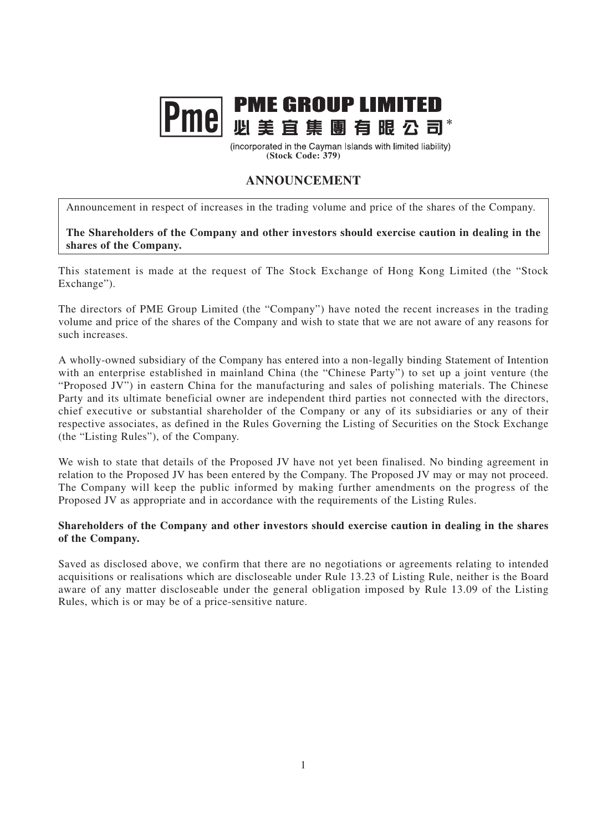## **PME GROUP LIMITED**<br>PMC 必美宜集團有限公司\*

(incorporated in the Cayman Islands with limited liability) **(Stock Code: 379)**

## **ANNOUNCEMENT**

Announcement in respect of increases in the trading volume and price of the shares of the Company.

**The Shareholders of the Company and other investors should exercise caution in dealing in the shares of the Company.**

This statement is made at the request of The Stock Exchange of Hong Kong Limited (the "Stock Exchange").

The directors of PME Group Limited (the "Company") have noted the recent increases in the trading volume and price of the shares of the Company and wish to state that we are not aware of any reasons for such increases.

A wholly-owned subsidiary of the Company has entered into a non-legally binding Statement of Intention with an enterprise established in mainland China (the "Chinese Party") to set up a joint venture (the "Proposed JV") in eastern China for the manufacturing and sales of polishing materials. The Chinese Party and its ultimate beneficial owner are independent third parties not connected with the directors, chief executive or substantial shareholder of the Company or any of its subsidiaries or any of their respective associates, as defined in the Rules Governing the Listing of Securities on the Stock Exchange (the "Listing Rules"), of the Company.

We wish to state that details of the Proposed JV have not yet been finalised. No binding agreement in relation to the Proposed JV has been entered by the Company. The Proposed JV may or may not proceed. The Company will keep the public informed by making further amendments on the progress of the Proposed JV as appropriate and in accordance with the requirements of the Listing Rules.

## **Shareholders of the Company and other investors should exercise caution in dealing in the shares of the Company.**

Saved as disclosed above, we confirm that there are no negotiations or agreements relating to intended acquisitions or realisations which are discloseable under Rule 13.23 of Listing Rule, neither is the Board aware of any matter discloseable under the general obligation imposed by Rule 13.09 of the Listing Rules, which is or may be of a price-sensitive nature.